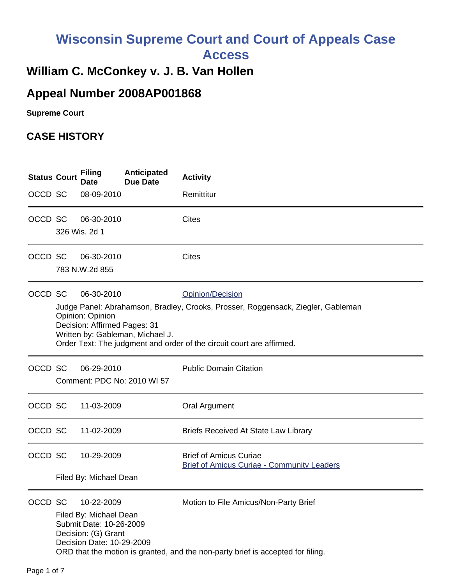# **Wisconsin Supreme Court and Court of Appeals Case Access**

## **William C. McConkey v. J. B. Van Hollen**

## **Appeal Number 2008AP001868**

**Supreme Court** 

## **CASE HISTORY**

| <b>Status Court</b> | <b>Filing</b><br><b>Date</b>                                                                                        | Anticipated<br><b>Due Date</b>   | <b>Activity</b>                                                                                                                                                               |
|---------------------|---------------------------------------------------------------------------------------------------------------------|----------------------------------|-------------------------------------------------------------------------------------------------------------------------------------------------------------------------------|
| OCCD SC             | 08-09-2010                                                                                                          |                                  | Remittitur                                                                                                                                                                    |
| OCCD SC             | 06-30-2010<br>326 Wis. 2d 1                                                                                         |                                  | <b>Cites</b>                                                                                                                                                                  |
| OCCD SC             | 06-30-2010<br>783 N.W.2d 855                                                                                        |                                  | <b>Cites</b>                                                                                                                                                                  |
| OCCD SC             | 06-30-2010<br>Opinion: Opinion<br>Decision: Affirmed Pages: 31                                                      | Written by: Gableman, Michael J. | Opinion/Decision<br>Judge Panel: Abrahamson, Bradley, Crooks, Prosser, Roggensack, Ziegler, Gableman<br>Order Text: The judgment and order of the circuit court are affirmed. |
| OCCD SC             | 06-29-2010                                                                                                          | Comment: PDC No: 2010 WI 57      | <b>Public Domain Citation</b>                                                                                                                                                 |
| OCCD SC             | 11-03-2009                                                                                                          |                                  | <b>Oral Argument</b>                                                                                                                                                          |
| OCCD SC             | 11-02-2009                                                                                                          |                                  | Briefs Received At State Law Library                                                                                                                                          |
| OCCD SC             | 10-29-2009<br>Filed By: Michael Dean                                                                                |                                  | <b>Brief of Amicus Curiae</b><br><b>Brief of Amicus Curiae - Community Leaders</b>                                                                                            |
| OCCD SC             | 10-22-2009<br>Filed By: Michael Dean<br>Submit Date: 10-26-2009<br>Decision: (G) Grant<br>Decision Date: 10-29-2009 |                                  | Motion to File Amicus/Non-Party Brief<br>ORD that the motion is granted, and the non-party brief is accepted for filing.                                                      |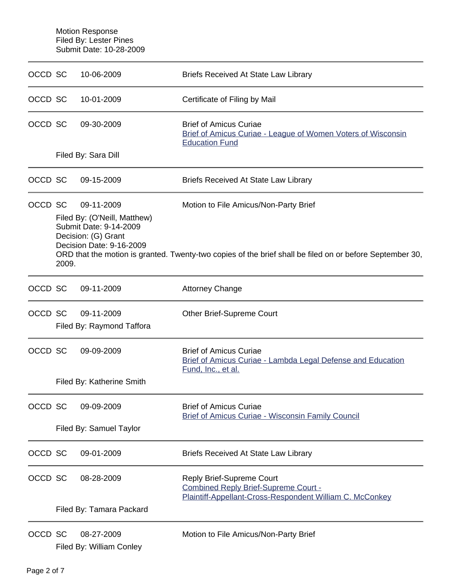Motion Response Filed By: Lester Pines Submit Date: 10-28-2009

| OCCD SC |                                                                                                                                                                                                                                                                                       | 10-06-2009                              | <b>Briefs Received At State Law Library</b>                                                                                   |  |
|---------|---------------------------------------------------------------------------------------------------------------------------------------------------------------------------------------------------------------------------------------------------------------------------------------|-----------------------------------------|-------------------------------------------------------------------------------------------------------------------------------|--|
| OCCD SC |                                                                                                                                                                                                                                                                                       | 10-01-2009                              | Certificate of Filing by Mail                                                                                                 |  |
| OCCD SC |                                                                                                                                                                                                                                                                                       | 09-30-2009                              | <b>Brief of Amicus Curiae</b><br>Brief of Amicus Curiae - League of Women Voters of Wisconsin<br><b>Education Fund</b>        |  |
|         |                                                                                                                                                                                                                                                                                       | Filed By: Sara Dill                     |                                                                                                                               |  |
| OCCD SC |                                                                                                                                                                                                                                                                                       | 09-15-2009                              | <b>Briefs Received At State Law Library</b>                                                                                   |  |
| OCCD SC | 09-11-2009<br>Motion to File Amicus/Non-Party Brief<br>Filed By: (O'Neill, Matthew)<br>Submit Date: 9-14-2009<br>Decision: (G) Grant<br>Decision Date: 9-16-2009<br>ORD that the motion is granted. Twenty-two copies of the brief shall be filed on or before September 30,<br>2009. |                                         |                                                                                                                               |  |
| OCCD SC |                                                                                                                                                                                                                                                                                       | 09-11-2009                              | <b>Attorney Change</b>                                                                                                        |  |
| OCCD SC |                                                                                                                                                                                                                                                                                       | 09-11-2009<br>Filed By: Raymond Taffora | <b>Other Brief-Supreme Court</b>                                                                                              |  |
| OCCD SC |                                                                                                                                                                                                                                                                                       | 09-09-2009                              | <b>Brief of Amicus Curiae</b><br>Brief of Amicus Curiae - Lambda Legal Defense and Education<br>Fund, Inc., et al.            |  |
|         |                                                                                                                                                                                                                                                                                       | Filed By: Katherine Smith               |                                                                                                                               |  |
| OCCD SC |                                                                                                                                                                                                                                                                                       | 09-09-2009                              | <b>Brief of Amicus Curiae</b><br><b>Brief of Amicus Curiae - Wisconsin Family Council</b>                                     |  |
|         | Filed By: Samuel Taylor                                                                                                                                                                                                                                                               |                                         |                                                                                                                               |  |
| OCCD SC |                                                                                                                                                                                                                                                                                       | 09-01-2009                              | <b>Briefs Received At State Law Library</b>                                                                                   |  |
| OCCD SC |                                                                                                                                                                                                                                                                                       | 08-28-2009                              | Reply Brief-Supreme Court<br>Combined Reply Brief-Supreme Court -<br>Plaintiff-Appellant-Cross-Respondent William C. McConkey |  |
|         |                                                                                                                                                                                                                                                                                       | Filed By: Tamara Packard                |                                                                                                                               |  |
| OCCD SC |                                                                                                                                                                                                                                                                                       | 08-27-2009<br>Filed By: William Conley  | Motion to File Amicus/Non-Party Brief                                                                                         |  |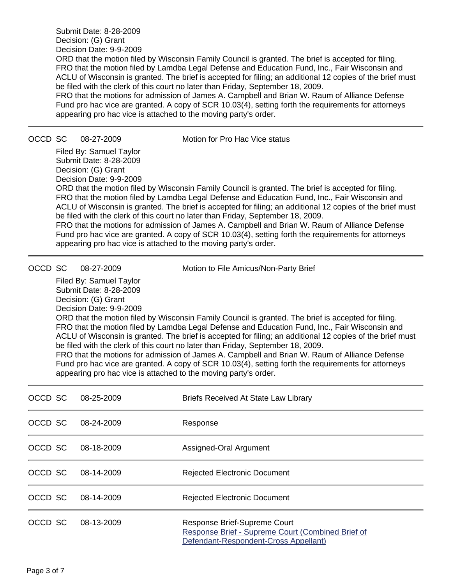Submit Date: 8-28-2009 Decision: (G) Grant Decision Date: 9-9-2009 ORD that the motion filed by Wisconsin Family Council is granted. The brief is accepted for filing.

FRO that the motion filed by Lamdba Legal Defense and Education Fund, Inc., Fair Wisconsin and ACLU of Wisconsin is granted. The brief is accepted for filing; an additional 12 copies of the brief must be filed with the clerk of this court no later than Friday, September 18, 2009.

FRO that the motions for admission of James A. Campbell and Brian W. Raum of Alliance Defense Fund pro hac vice are granted. A copy of SCR 10.03(4), setting forth the requirements for attorneys appearing pro hac vice is attached to the moving party's order.

OCCD SC 08-27-2009 Motion for Pro Hac Vice status

Filed By: Samuel Taylor Submit Date: 8-28-2009 Decision: (G) Grant Decision Date: 9-9-2009

ORD that the motion filed by Wisconsin Family Council is granted. The brief is accepted for filing. FRO that the motion filed by Lamdba Legal Defense and Education Fund, Inc., Fair Wisconsin and ACLU of Wisconsin is granted. The brief is accepted for filing; an additional 12 copies of the brief must be filed with the clerk of this court no later than Friday, September 18, 2009.

FRO that the motions for admission of James A. Campbell and Brian W. Raum of Alliance Defense Fund pro hac vice are granted. A copy of SCR 10.03(4), setting forth the requirements for attorneys appearing pro hac vice is attached to the moving party's order.

OCCD SC 08-27-2009 Motion to File Amicus/Non-Party Brief

Filed By: Samuel Taylor Submit Date: 8-28-2009 Decision: (G) Grant Decision Date: 9-9-2009 ORD that the motion filed by Wisconsin Family Council is granted. The brief is accepted for filing. FRO that the motion filed by Lamdba Legal Defense and Education Fund, Inc., Fair Wisconsin and ACLU of Wisconsin is granted. The brief is accepted for filing; an additional 12 copies of the brief must be filed with the clerk of this court no later than Friday, September 18, 2009. FRO that the motions for admission of James A. Campbell and Brian W. Raum of Alliance Defense Fund pro hac vice are granted. A copy of SCR 10.03(4), setting forth the requirements for attorneys appearing pro hac vice is attached to the moving party's order.

| OCCD SC | 08-25-2009 | <b>Briefs Received At State Law Library</b>                                                                                |
|---------|------------|----------------------------------------------------------------------------------------------------------------------------|
| OCCD SC | 08-24-2009 | Response                                                                                                                   |
| OCCD SC | 08-18-2009 | Assigned-Oral Argument                                                                                                     |
| OCCD SC | 08-14-2009 | <b>Rejected Electronic Document</b>                                                                                        |
| OCCD SC | 08-14-2009 | <b>Rejected Electronic Document</b>                                                                                        |
| OCCD SC | 08-13-2009 | Response Brief-Supreme Court<br>Response Brief - Supreme Court (Combined Brief of<br>Defendant-Respondent-Cross Appellant) |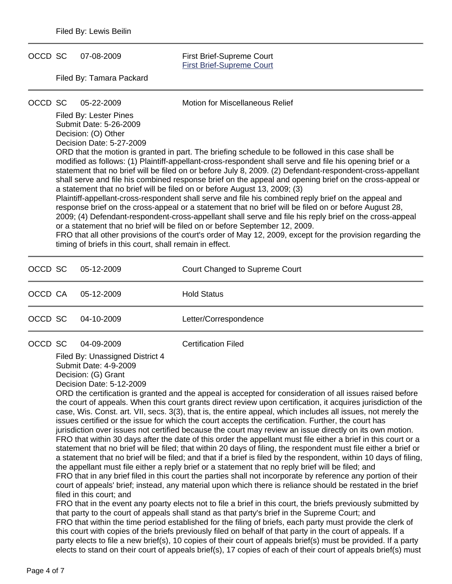OCCD SC 07-08-2009 First Brief-Supreme Court

[First Brief-Supreme Court](https://acefiling.wicourts.gov/document/eFiled/2008AP001868/37532)

Filed By: Tamara Packard

OCCD SC 05-22-2009 Motion for Miscellaneous Relief

Filed By: Lester Pines Submit Date: 5-26-2009 Decision: (O) Other

Decision Date: 5-27-2009 ORD that the motion is granted in part. The briefing schedule to be followed in this case shall be modified as follows: (1) Plaintiff-appellant-cross-respondent shall serve and file his opening brief or a statement that no brief will be filed on or before July 8, 2009. (2) Defendant-respondent-cross-appellant shall serve and file his combined response brief on the appeal and opening brief on the cross-appeal or a statement that no brief will be filed on or before August 13, 2009; (3) Plaintiff-appellant-cross-respondent shall serve and file his combined reply brief on the appeal and response brief on the cross-appeal or a statement that no brief will be filed on or before August 28, 2009; (4) Defendant-respondent-cross-appellant shall serve and file his reply brief on the cross-appeal or a statement that no brief will be filed on or before September 12, 2009.

FRO that all other provisions of the court's order of May 12, 2009, except for the provision regarding the timing of briefs in this court, shall remain in effect.

| OCCD SC | 05-12-2009 | Court Changed to Supreme Court |
|---------|------------|--------------------------------|
| OCCD CA | 05-12-2009 | <b>Hold Status</b>             |
| OCCD SC | 04-10-2009 | Letter/Correspondence          |
| OCCD SC | 04-09-2009 | <b>Certification Filed</b>     |

Filed By: Unassigned District 4 Submit Date: 4-9-2009 Decision: (G) Grant

Decision Date: 5-12-2009

ORD the certification is granted and the appeal is accepted for consideration of all issues raised before the court of appeals. When this court grants direct review upon certification, it acquires jurisdiction of the case, Wis. Const. art. VII, secs. 3(3), that is, the entire appeal, which includes all issues, not merely the issues certified or the issue for which the court accepts the certification. Further, the court has jurisdiction over issues not certified because the court may review an issue directly on its own motion. FRO that within 30 days after the date of this order the appellant must file either a brief in this court or a statement that no brief will be filed; that within 20 days of filing, the respondent must file either a brief or a statement that no brief will be filed; and that if a brief is filed by the respondent, within 10 days of filing, the appellant must file either a reply brief or a statement that no reply brief will be filed; and FRO that in any brief filed in this court the parties shall not incorporate by reference any portion of their court of appeals' brief; instead, any material upon which there is reliance should be restated in the brief

filed in this court; and

FRO that in the event any poarty elects not to file a brief in this court, the briefs previously submitted by that party to the court of appeals shall stand as that party's brief in the Supreme Court; and FRO that within the time period established for the filing of briefs, each party must provide the clerk of this court with copies of the briefs previously filed on behalf of that party in the court of appeals. If a party elects to file a new brief(s), 10 copies of their court of appeals brief(s) must be provided. If a party elects to stand on their court of appeals brief(s), 17 copies of each of their court of appeals brief(s) must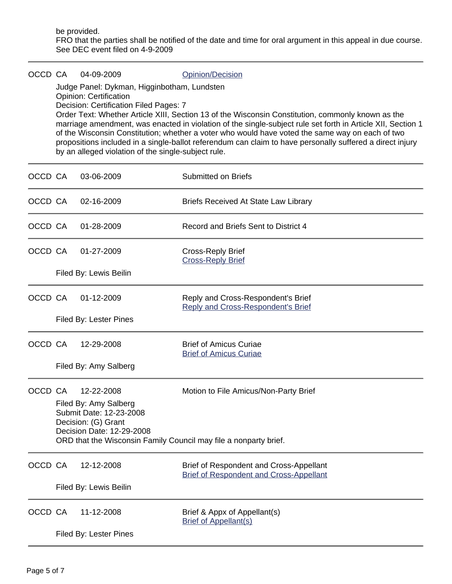be provided. FRO that the parties shall be notified of the date and time for oral argument in this appeal in due course. See DEC event filed on 4-9-2009

### OCCD CA 04-09-2009 Qpinion/Decision

Judge Panel: Dykman, Higginbotham, Lundsten Opinion: Certification Decision: Certification Filed Pages: 7

Order Text: Whether Article XIII, Section 13 of the Wisconsin Constitution, commonly known as the marriage amendment, was enacted in violation of the single-subject rule set forth in Article XII, Section 1 of the Wisconsin Constitution; whether a voter who would have voted the same way on each of two propositions included in a single-ballot referendum can claim to have personally suffered a direct injury by an alleged violation of the single-subject rule.

| OCCD CA |                        | 03-06-2009                                                                                                         | <b>Submitted on Briefs</b>                                                                                |  |  |  |
|---------|------------------------|--------------------------------------------------------------------------------------------------------------------|-----------------------------------------------------------------------------------------------------------|--|--|--|
| OCCD CA |                        | 02-16-2009                                                                                                         | <b>Briefs Received At State Law Library</b>                                                               |  |  |  |
| OCCD CA |                        | 01-28-2009                                                                                                         | Record and Briefs Sent to District 4                                                                      |  |  |  |
| OCCD CA |                        | 01-27-2009                                                                                                         | <b>Cross-Reply Brief</b><br><b>Cross-Reply Brief</b>                                                      |  |  |  |
|         |                        | Filed By: Lewis Beilin                                                                                             |                                                                                                           |  |  |  |
| OCCD CA |                        | 01-12-2009                                                                                                         | Reply and Cross-Respondent's Brief<br><b>Reply and Cross-Respondent's Brief</b>                           |  |  |  |
|         |                        | Filed By: Lester Pines                                                                                             |                                                                                                           |  |  |  |
| OCCD CA |                        | 12-29-2008                                                                                                         | <b>Brief of Amicus Curiae</b><br><b>Brief of Amicus Curiae</b>                                            |  |  |  |
|         |                        | Filed By: Amy Salberg                                                                                              |                                                                                                           |  |  |  |
| OCCD CA |                        | 12-22-2008<br>Filed By: Amy Salberg<br>Submit Date: 12-23-2008<br>Decision: (G) Grant<br>Decision Date: 12-29-2008 | Motion to File Amicus/Non-Party Brief<br>ORD that the Wisconsin Family Council may file a nonparty brief. |  |  |  |
| OCCD CA |                        | 12-12-2008                                                                                                         | Brief of Respondent and Cross-Appellant<br><b>Brief of Respondent and Cross-Appellant</b>                 |  |  |  |
|         | Filed By: Lewis Beilin |                                                                                                                    |                                                                                                           |  |  |  |
| OCCD CA |                        | 11-12-2008                                                                                                         | Brief & Appx of Appellant(s)<br><b>Brief of Appellant(s)</b>                                              |  |  |  |
|         |                        | Filed By: Lester Pines                                                                                             |                                                                                                           |  |  |  |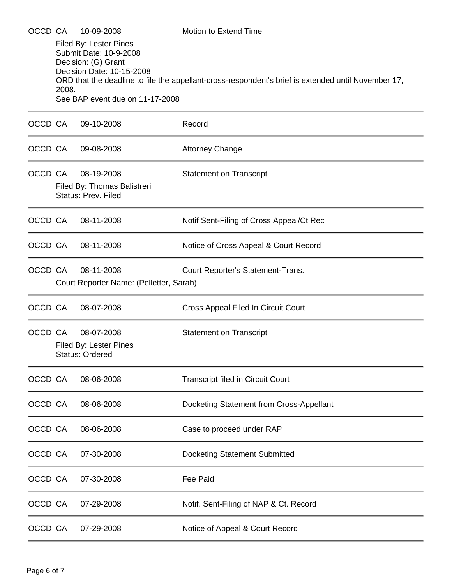| OCCD CA |       | 10-09-2008                                                                                                                              | <b>Motion to Extend Time</b>                                                                        |
|---------|-------|-----------------------------------------------------------------------------------------------------------------------------------------|-----------------------------------------------------------------------------------------------------|
|         | 2008. | Filed By: Lester Pines<br>Submit Date: 10-9-2008<br>Decision: (G) Grant<br>Decision Date: 10-15-2008<br>See BAP event due on 11-17-2008 | ORD that the deadline to file the appellant-cross-respondent's brief is extended until November 17, |
| OCCD CA |       | 09-10-2008                                                                                                                              | Record                                                                                              |
| OCCD CA |       | 09-08-2008                                                                                                                              | <b>Attorney Change</b>                                                                              |
| OCCD CA |       | 08-19-2008<br>Filed By: Thomas Balistreri<br>Status: Prev. Filed                                                                        | <b>Statement on Transcript</b>                                                                      |
| OCCD CA |       | 08-11-2008                                                                                                                              | Notif Sent-Filing of Cross Appeal/Ct Rec                                                            |
| OCCD CA |       | 08-11-2008                                                                                                                              | Notice of Cross Appeal & Court Record                                                               |
| OCCD CA |       | 08-11-2008<br>Court Reporter Name: (Pelletter, Sarah)                                                                                   | Court Reporter's Statement-Trans.                                                                   |
| OCCD CA |       | 08-07-2008                                                                                                                              | Cross Appeal Filed In Circuit Court                                                                 |
| OCCD CA |       | 08-07-2008<br>Filed By: Lester Pines<br>Status: Ordered                                                                                 | <b>Statement on Transcript</b>                                                                      |
| OCCD CA |       | 08-06-2008                                                                                                                              | <b>Transcript filed in Circuit Court</b>                                                            |
| OCCD CA |       | 08-06-2008                                                                                                                              | Docketing Statement from Cross-Appellant                                                            |
| OCCD CA |       | 08-06-2008                                                                                                                              | Case to proceed under RAP                                                                           |
| OCCD CA |       | 07-30-2008                                                                                                                              | <b>Docketing Statement Submitted</b>                                                                |
| OCCD CA |       | 07-30-2008                                                                                                                              | Fee Paid                                                                                            |
| OCCD CA |       | 07-29-2008                                                                                                                              | Notif. Sent-Filing of NAP & Ct. Record                                                              |
| OCCD CA |       | 07-29-2008                                                                                                                              | Notice of Appeal & Court Record                                                                     |